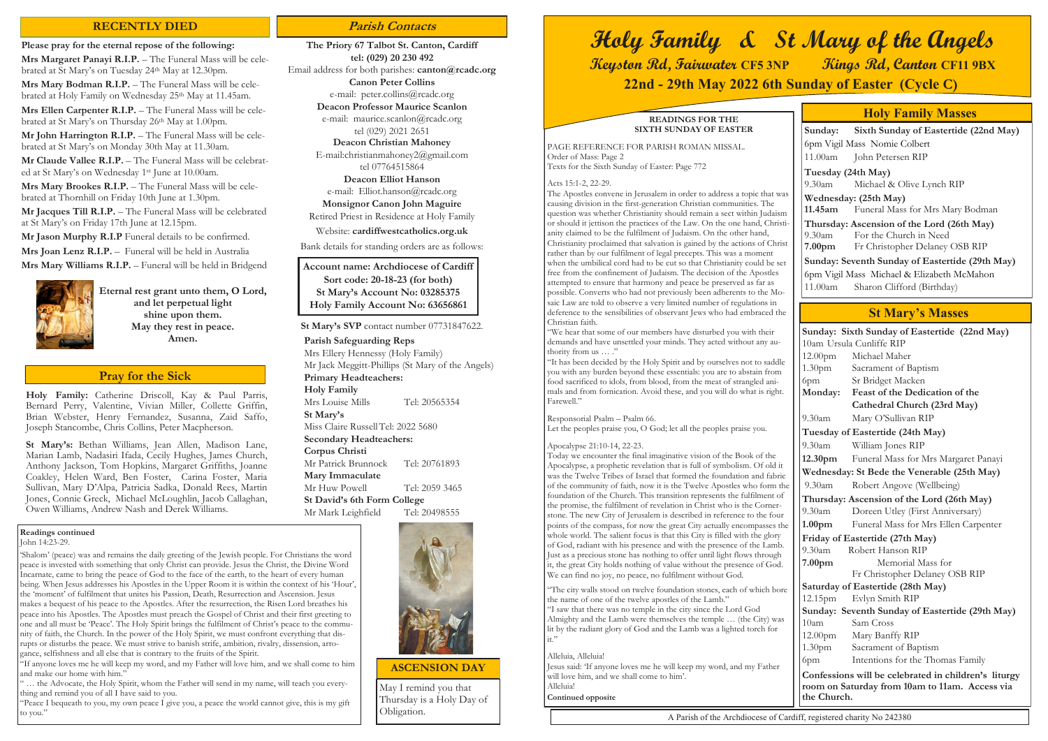**Holy Family:** Catherine Driscoll, Kay & Paul Parris, Bernard Perry, Valentine, Vivian Miller, Collette Griffin, Brian Webster, Henry Fernandez, Susanna, Zaid Saffo, Joseph Stancombe, Chris Collins, Peter Macpherson.

**St Mary's:** Bethan Williams, Jean Allen, Madison Lane, Marian Lamb, Nadasiri Ifada, Cecily Hughes, James Church, Anthony Jackson, Tom Hopkins, Margaret Griffiths, Joanne Coakley, Helen Ward, Ben Foster, Carina Foster, Maria Sullivan, Mary D'Alpa, Patricia Sadka, Donald Rees, Martin Jones, Connie Greck, Michael McLoughlin, Jacob Callaghan, Owen Williams, Andrew Nash and Derek Williams.

#### **Pray for the Sick**

#### **Readings continued**

John 14:23-29.

"If anyone loves me he will keep my word, and my Father will love him, and we shall come to him and make our home with him."

'Shalom' (peace) was and remains the daily greeting of the Jewish people. For Christians the word peace is invested with something that only Christ can provide. Jesus the Christ, the Divine Word Incarnate, came to bring the peace of God to the face of the earth, to the heart of every human being. When Jesus addresses his Apostles in the Upper Room it is within the context of his 'Hour', the 'moment' of fulfilment that unites his Passion, Death, Resurrection and Ascension. Jesus makes a bequest of his peace to the Apostles. After the resurrection, the Risen Lord breathes his peace into his Apostles. The Apostles must preach the Gospel of Christ and their first greeting to one and all must be 'Peace'. The Holy Spirit brings the fulfilment of Christ's peace to the community of faith, the Church. In the power of the Holy Spirit, we must confront everything that disrupts or disturbs the peace. We must strive to banish strife, ambition, rivalry, dissension, arrogance, selfishness and all else that is contrary to the fruits of the Spirit.

"We hear that some of our members have disturbed you with their demands and have unsettled your minds. They acted without any authority from us ... ."

" … the Advocate, the Holy Spirit, whom the Father will send in my name, will teach you everything and remind you of all I have said to you.

"Peace I bequeath to you, my own peace I give you, a peace the world cannot give, this is my gift to you."

#### **READINGS FOR THE SIXTH SUNDAY OF EASTER**

PAGE REFERENCE FOR PARISH ROMAN MISSAL. Order of Mass: Page 2 Texts for the Sixth Sunday of Easter: Page 772

#### Acts 15:1-2, 22-29.

The Apostles convene in Jerusalem in order to address a topic that was causing division in the first-generation Christian communities. The question was whether Christianity should remain a sect within Judaism or should it jettison the practices of the Law. On the one hand, Christianity claimed to be the fulfilment of Judaism. On the other hand, Christianity proclaimed that salvation is gained by the actions of Christ rather than by our fulfilment of legal precepts. This was a moment when the umbilical cord had to be cut so that Christianity could be set free from the confinement of Judaism. The decision of the Apostles attempted to ensure that harmony and peace be preserved as far as possible. Converts who had not previously been adherents to the Mosaic Law are told to observe a very limited number of regulations in deference to the sensibilities of observant Jews who had embraced the Christian faith.

"It has been decided by the Holy Spirit and by ourselves not to saddle you with any burden beyond these essentials: you are to abstain from food sacrificed to idols, from blood, from the meat of strangled animals and from fornication. Avoid these, and you will do what is right. Farewell."

**Mrs Margaret Panayi R.I.P.** – The Funeral Mass will be celebrated at St Mary's on Tuesday 24th May at 12.30pm.

**Mrs Mary Bodman R.I.P.** – The Funeral Mass will be celebrated at Holy Family on Wednesday 25<sup>th</sup> May at 11.45am.

**Mrs Ellen Carpenter R.I.P.** - The Funeral Mass will be celebrated at St Mary's on Thursday 26<sup>th</sup> May at 1.00pm.

Responsorial Psalm – Psalm 66.

**Mr John Harrington R.I.P.** – The Funeral Mass will be celebrated at St Mary's on Monday 30th May at 11.30am.

Let the peoples praise you, O God; let all the peoples praise you.

**Mr Claude Vallee R.I.P.** – The Funeral Mass will be celebrated at St Mary's on Wednesday 1st June at 10.00am.

#### Apocalypse 21:10-14, 22-23.

Mrs Mary Brookes R.I.P. - The Funeral Mass will be celebrated at Thornhill on Friday 10th June at 1.30pm.

**Mr Jason Murphy R.I.P** Funeral details to be confirmed. **Mrs Joan Lenz R.I.P.** – Funeral will be held in Australia **Mrs Mary Williams R.I.P.** – Funeral will be held in Bridgend



**Deacon Professor Maurice Scanlon** e-mail: maurice.scanlon@rcadc.org

> Today we encounter the final imaginative vision of the Book of the Apocalypse, a prophetic revelation that is full of symbolism. Of old it was the Twelve Tribes of Israel that formed the foundation and fabric of the community of faith, now it is the Twelve Apostles who form the foundation of the Church. This transition represents the fulfilment of the promise, the fulfilment of revelation in Christ who is the Cornerstone. The new City of Jerusalem is described in reference to the four points of the compass, for now the great City actually encompasses the whole world. The salient focus is that this City is filled with the glory of God, radiant with his presence and with the presence of the Lamb. Just as a precious stone has nothing to offer until light flows through it, the great City holds nothing of value without the presence of God. We can find no joy, no peace, no fulfilment without God.

> "The city walls stood on twelve foundation stones, each of which bore the name of one of the twelve apostles of the Lamb." "I saw that there was no temple in the city since the Lord God Almighty and the Lamb were themselves the temple … (the City) was lit by the radiant glory of God and the Lamb was a lighted torch for it."

#### Alleluia, Alleluia!

Jesus said: 'If anyone loves me he will keep my word, and my Father will love him, and we shall come to him'. Alleluia!

**Continued opposite**

| Sunday: Sixth Sunday of Eastertide (22nd May)                                                                         |                                      |
|-----------------------------------------------------------------------------------------------------------------------|--------------------------------------|
|                                                                                                                       | 10am Ursula Cunliffe RIP             |
| 12.00 <sub>pm</sub>                                                                                                   | Michael Maher                        |
| 1.30 <sub>pm</sub>                                                                                                    | Sacrament of Baptism                 |
| 6pm                                                                                                                   | Sr Bridget Macken                    |
| Monday:                                                                                                               | Feast of the Dedication of the       |
|                                                                                                                       | Cathedral Church (23rd May)          |
| 9.30am                                                                                                                | Mary O'Sullivan RIP                  |
| Tuesday of Eastertide (24th May)                                                                                      |                                      |
| $9.30$ am                                                                                                             | William Jones RIP                    |
| 12.30pm                                                                                                               | Funeral Mass for Mrs Margaret Panayi |
| Wednesday: St Bede the Venerable (25th May)                                                                           |                                      |
| 9.30am                                                                                                                | Robert Angove (Wellbeing)            |
| Thursday: Ascension of the Lord (26th May)                                                                            |                                      |
| 9.30am                                                                                                                | Doreen Utley (First Anniversary)     |
| 1.00 <sub>pm</sub>                                                                                                    | Funeral Mass for Mrs Ellen Carpenter |
| Friday of Eastertide (27th May)                                                                                       |                                      |
| 9.30am                                                                                                                | Robert Hanson RIP                    |
| 7.00 <sub>pm</sub>                                                                                                    | Memorial Mass for                    |
|                                                                                                                       | Fr Christopher Delaney OSB RIP       |
| Saturday of Eastertide (28th May)                                                                                     |                                      |
| 12.15 <sub>pm</sub>                                                                                                   | Evlyn Smith RIP                      |
| Sunday: Seventh Sunday of Eastertide (29th May)                                                                       |                                      |
| 10am                                                                                                                  | Sam Cross                            |
|                                                                                                                       | 12.00pm Mary Banffy RIP              |
|                                                                                                                       | 1.30pm Sacrament of Baptism          |
| 6pm                                                                                                                   | Intentions for the Thomas Family     |
| Confessions will be celebrated in children's liturgy<br>room on Saturday from 10am to 11am. Access via<br>the Church. |                                      |

### **St Mary's Masses**

**Sunday: Sixth Sunday of Eastertide (22nd May)** 6pm Vigil Mass Nomie Colbert 11.00am John Petersen RIP **Tuesday (24th May)**  Michael & Olive Lynch RIP **Wednesday: (25th May) 11.45am** Funeral Mass for Mrs Mary Bodman **Thursday: Ascension of the Lord (26th May)**  9.30am For the Church in Need **7.00pm** Fr Christopher Delaney OSB RIP **Sunday: Seventh Sunday of Eastertide (29th May)** 6pm Vigil Mass Michael & Elizabeth McMahon 11.00am Sharon Clifford (Birthday)

### **Holy Family Masses**

# **Holy Family & St Mary of the Angels Keyston Rd, Fairwater CF5 3NP Kings Rd, Canton CF11 9BX 22nd - 29th May 2022 6th Sunday of Easter (Cycle C)**

### **RECENTLY DIED Parish Contacts**

#### **Please pray for the eternal repose of the following:**

**Mr Jacques Till R.I.P.** – The Funeral Mass will be celebrated at St Mary's on Friday 17th June at 12.15pm.

> **Eternal rest grant unto them, O Lord, and let perpetual light shine upon them. May they rest in peace. Amen.**

**The Priory 67 Talbot St. Canton, Cardiff tel: (029) 20 230 492** Email address for both parishes: **canton@rcadc.org Canon Peter Collins** e-mail: peter.collins@rcadc.org

tel (029) 2021 2651

**Deacon Christian Mahoney**

E-mail:christianmahoney2@gmail.com tel 07764515864

**Deacon Elliot Hanson**

e-mail: Elliot.hanson@rcadc.org **Monsignor Canon John Maguire**

Retired Priest in Residence at Holy Family

Website: **cardiffwestcatholics.org.uk**

Bank details for standing orders are as follows:

#### **St Mary's SVP** contact number 07731847622.

**Parish Safeguarding Reps**  Mrs Ellery Hennessy (Holy Family) Mr Jack Meggitt-Phillips (St Mary of the Angels) **Primary Headteachers: Holy Family** Mrs Louise Mills Tel: 20565354 **St Mary's** Miss Claire RussellTel: 2022 5680 **Secondary Headteachers: Corpus Christi** Mr Patrick Brunnock Tel: 20761893 **Mary Immaculate** Mr Huw Powell Tel: 2059 3465 **St David's 6th Form College** Mr Mark Leighfield Tel: 20498555



**Account name: Archdiocese of Cardiff Sort code: 20-18-23 (for both) St Mary's Account No: 03285375 Holy Family Account No: 63656861**

> May I remind you that Thursday is a Holy Day of Obligation.

#### **ASCENSION DAY**